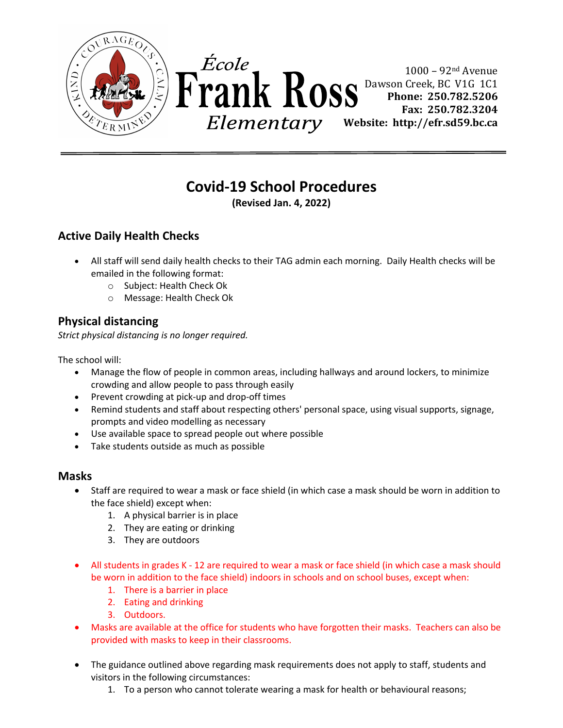



 $1000 - 92$ <sup>nd</sup> Avenue Dawson Creek, BC V1G 1C1 **Phone: 250.782.5206 Fax: 250.782.3204 Website: http://efr.sd59.bc.ca** 

# **Covid-19 School Procedures**

**(Revised Jan. 4, 2022)**

# **Active Daily Health Checks**

- All staff will send daily health checks to their TAG admin each morning. Daily Health checks will be emailed in the following format:
	- o Subject: Health Check Ok
	- o Message: Health Check Ok

# **Physical distancing**

*Strict physical distancing is no longer required.* 

The school will:

- Manage the flow of people in common areas, including hallways and around lockers, to minimize crowding and allow people to pass through easily
- Prevent crowding at pick-up and drop-off times
- Remind students and staff about respecting others' personal space, using visual supports, signage, prompts and video modelling as necessary
- Use available space to spread people out where possible
- Take students outside as much as possible

## **Masks**

- Staff are required to wear a mask or face shield (in which case a mask should be worn in addition to the face shield) except when:
	- 1. A physical barrier is in place
	- 2. They are eating or drinking
	- 3. They are outdoors
- All students in grades K 12 are required to wear a mask or face shield (in which case a mask should be worn in addition to the face shield) indoors in schools and on school buses, except when:
	- 1. There is a barrier in place
	- 2. Eating and drinking
	- 3. Outdoors.
- Masks are available at the office for students who have forgotten their masks. Teachers can also be provided with masks to keep in their classrooms.
- The guidance outlined above regarding mask requirements does not apply to staff, students and visitors in the following circumstances:
	- 1. To a person who cannot tolerate wearing a mask for health or behavioural reasons;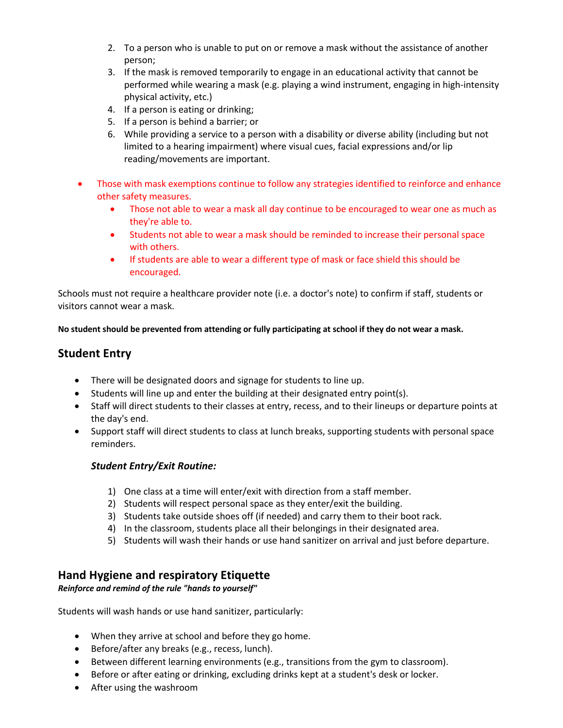- 2. To a person who is unable to put on or remove a mask without the assistance of another person;
- 3. If the mask is removed temporarily to engage in an educational activity that cannot be performed while wearing a mask (e.g. playing a wind instrument, engaging in high-intensity physical activity, etc.)
- 4. If a person is eating or drinking;
- 5. If a person is behind a barrier; or
- 6. While providing a service to a person with a disability or diverse ability (including but not limited to a hearing impairment) where visual cues, facial expressions and/or lip reading/movements are important.
- Those with mask exemptions continue to follow any strategies identified to reinforce and enhance other safety measures.
	- Those not able to wear a mask all day continue to be encouraged to wear one as much as they're able to.
	- Students not able to wear a mask should be reminded to increase their personal space with others.
	- If students are able to wear a different type of mask or face shield this should be encouraged.

Schools must not require a healthcare provider note (i.e. a doctor's note) to confirm if staff, students or visitors cannot wear a mask.

**No student should be prevented from attending or fully participating at school if they do not wear a mask.**

## **Student Entry**

- There will be designated doors and signage for students to line up.
- Students will line up and enter the building at their designated entry point(s).
- Staff will direct students to their classes at entry, recess, and to their lineups or departure points at the day's end.
- Support staff will direct students to class at lunch breaks, supporting students with personal space reminders.

#### *Student Entry/Exit Routine:*

- 1) One class at a time will enter/exit with direction from a staff member.
- 2) Students will respect personal space as they enter/exit the building.
- 3) Students take outside shoes off (if needed) and carry them to their boot rack.
- 4) In the classroom, students place all their belongings in their designated area.
- 5) Students will wash their hands or use hand sanitizer on arrival and just before departure.

## **Hand Hygiene and respiratory Etiquette**

*Reinforce and remind of the rule "hands to yourself"*

Students will wash hands or use hand sanitizer, particularly:

- When they arrive at school and before they go home.
- Before/after any breaks (e.g., recess, lunch).
- Between different learning environments (e.g., transitions from the gym to classroom).
- Before or after eating or drinking, excluding drinks kept at a student's desk or locker.
- After using the washroom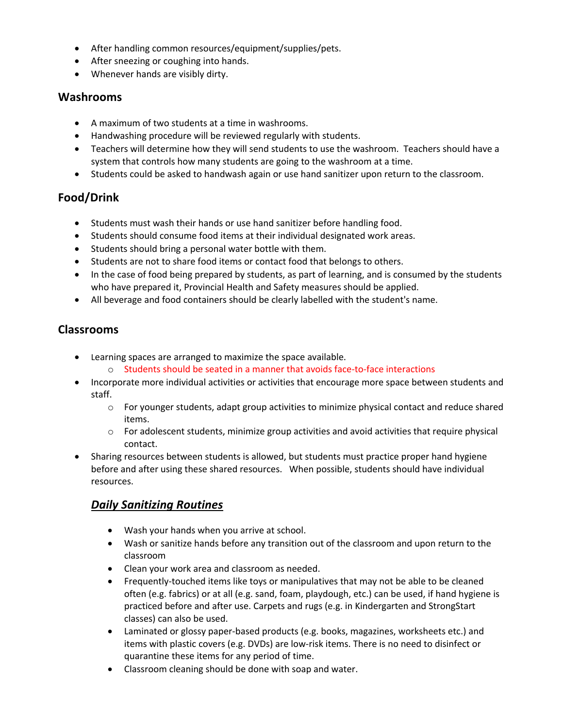- After handling common resources/equipment/supplies/pets.
- After sneezing or coughing into hands.
- Whenever hands are visibly dirty.

#### **Washrooms**

- A maximum of two students at a time in washrooms.
- Handwashing procedure will be reviewed regularly with students.
- Teachers will determine how they will send students to use the washroom. Teachers should have a system that controls how many students are going to the washroom at a time.
- Students could be asked to handwash again or use hand sanitizer upon return to the classroom.

## **Food/Drink**

- Students must wash their hands or use hand sanitizer before handling food.
- Students should consume food items at their individual designated work areas.
- Students should bring a personal water bottle with them.
- Students are not to share food items or contact food that belongs to others.
- In the case of food being prepared by students, as part of learning, and is consumed by the students who have prepared it, Provincial Health and Safety measures should be applied.
- All beverage and food containers should be clearly labelled with the student's name.

## **Classrooms**

- Learning spaces are arranged to maximize the space available.
	- $\circ$  Students should be seated in a manner that avoids face-to-face interactions
- Incorporate more individual activities or activities that encourage more space between students and staff.
	- $\circ$  For younger students, adapt group activities to minimize physical contact and reduce shared items.
	- $\circ$  For adolescent students, minimize group activities and avoid activities that require physical contact.
- Sharing resources between students is allowed, but students must practice proper hand hygiene before and after using these shared resources. When possible, students should have individual resources.

## *Daily Sanitizing Routines*

- Wash your hands when you arrive at school.
- Wash or sanitize hands before any transition out of the classroom and upon return to the classroom
- Clean your work area and classroom as needed.
- Frequently-touched items like toys or manipulatives that may not be able to be cleaned often (e.g. fabrics) or at all (e.g. sand, foam, playdough, etc.) can be used, if hand hygiene is practiced before and after use. Carpets and rugs (e.g. in Kindergarten and StrongStart classes) can also be used.
- Laminated or glossy paper-based products (e.g. books, magazines, worksheets etc.) and items with plastic covers (e.g. DVDs) are low-risk items. There is no need to disinfect or quarantine these items for any period of time.
- Classroom cleaning should be done with soap and water.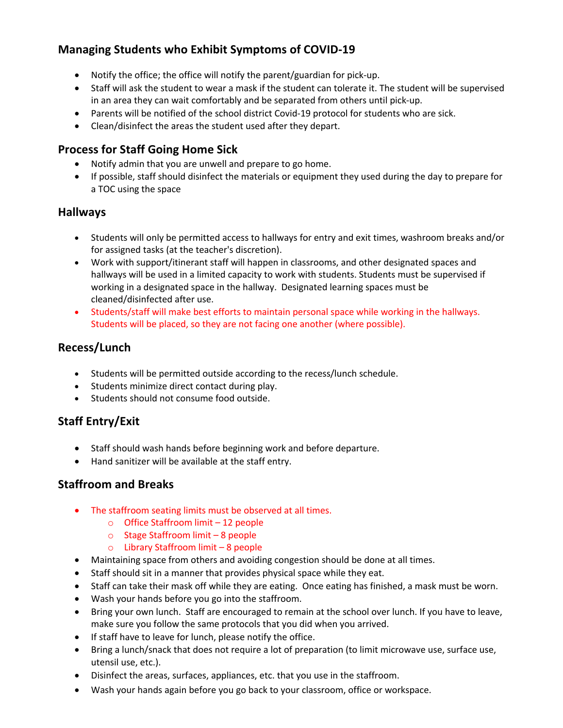# **Managing Students who Exhibit Symptoms of COVID-19**

- Notify the office; the office will notify the parent/guardian for pick-up.
- Staff will ask the student to wear a mask if the student can tolerate it. The student will be supervised in an area they can wait comfortably and be separated from others until pick-up.
- Parents will be notified of the school district Covid-19 protocol for students who are sick.
- Clean/disinfect the areas the student used after they depart.

## **Process for Staff Going Home Sick**

- Notify admin that you are unwell and prepare to go home.
- If possible, staff should disinfect the materials or equipment they used during the day to prepare for a TOC using the space

## **Hallways**

- Students will only be permitted access to hallways for entry and exit times, washroom breaks and/or for assigned tasks (at the teacher's discretion).
- Work with support/itinerant staff will happen in classrooms, and other designated spaces and hallways will be used in a limited capacity to work with students. Students must be supervised if working in a designated space in the hallway. Designated learning spaces must be cleaned/disinfected after use.
- Students/staff will make best efforts to maintain personal space while working in the hallways. Students will be placed, so they are not facing one another (where possible).

## **Recess/Lunch**

- Students will be permitted outside according to the recess/lunch schedule.
- Students minimize direct contact during play.
- Students should not consume food outside.

# **Staff Entry/Exit**

- Staff should wash hands before beginning work and before departure.
- Hand sanitizer will be available at the staff entry.

## **Staffroom and Breaks**

- The staffroom seating limits must be observed at all times.
	- o Office Staffroom limit 12 people
	- o Stage Staffroom limit 8 people
	- o Library Staffroom limit 8 people
- Maintaining space from others and avoiding congestion should be done at all times.
- Staff should sit in a manner that provides physical space while they eat.
- Staff can take their mask off while they are eating. Once eating has finished, a mask must be worn.
- Wash your hands before you go into the staffroom.
- Bring your own lunch. Staff are encouraged to remain at the school over lunch. If you have to leave, make sure you follow the same protocols that you did when you arrived.
- If staff have to leave for lunch, please notify the office.
- Bring a lunch/snack that does not require a lot of preparation (to limit microwave use, surface use, utensil use, etc.).
- Disinfect the areas, surfaces, appliances, etc. that you use in the staffroom.
- Wash your hands again before you go back to your classroom, office or workspace.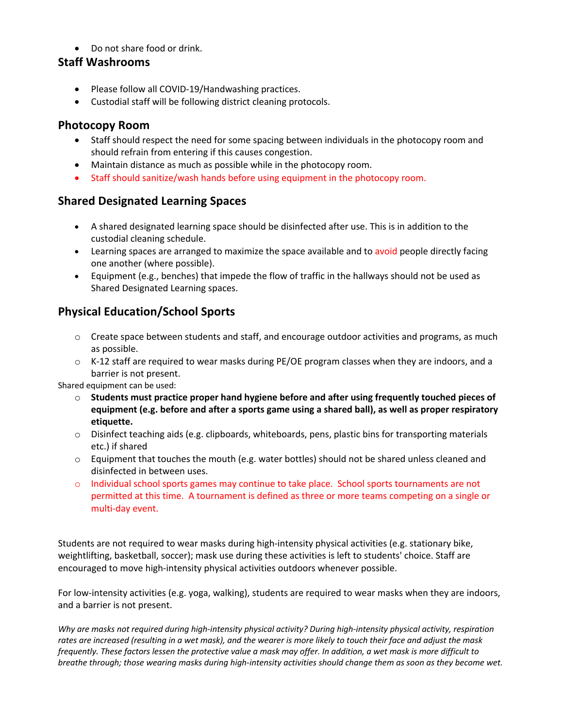• Do not share food or drink.

## **Staff Washrooms**

- Please follow all COVID-19/Handwashing practices.
- Custodial staff will be following district cleaning protocols.

#### **Photocopy Room**

- Staff should respect the need for some spacing between individuals in the photocopy room and should refrain from entering if this causes congestion.
- Maintain distance as much as possible while in the photocopy room.
- Staff should sanitize/wash hands before using equipment in the photocopy room.

## **Shared Designated Learning Spaces**

- A shared designated learning space should be disinfected after use. This is in addition to the custodial cleaning schedule.
- Learning spaces are arranged to maximize the space available and to avoid people directly facing one another (where possible).
- Equipment (e.g., benches) that impede the flow of traffic in the hallways should not be used as Shared Designated Learning spaces.

## **Physical Education/School Sports**

- $\circ$  Create space between students and staff, and encourage outdoor activities and programs, as much as possible.
- $\circ$  K-12 staff are required to wear masks during PE/OE program classes when they are indoors, and a barrier is not present.

Shared equipment can be used:

- o **Students must practice proper hand hygiene before and after using frequently touched pieces of equipment (e.g. before and after a sports game using a shared ball), as well as proper respiratory etiquette.**
- o Disinfect teaching aids (e.g. clipboards, whiteboards, pens, plastic bins for transporting materials etc.) if shared
- $\circ$  Equipment that touches the mouth (e.g. water bottles) should not be shared unless cleaned and disinfected in between uses.
- o Individual school sports games may continue to take place. School sports tournaments are not permitted at this time. A tournament is defined as three or more teams competing on a single or multi-day event.

Students are not required to wear masks during high-intensity physical activities (e.g. stationary bike, weightlifting, basketball, soccer); mask use during these activities is left to students' choice. Staff are encouraged to move high-intensity physical activities outdoors whenever possible.

For low-intensity activities (e.g. yoga, walking), students are required to wear masks when they are indoors, and a barrier is not present.

*Why are masks not required during high-intensity physical activity? During high-intensity physical activity, respiration rates are increased (resulting in a wet mask), and the wearer is more likely to touch their face and adjust the mask frequently. These factors lessen the protective value a mask may offer. In addition, a wet mask is more difficult to breathe through; those wearing masks during high-intensity activities should change them as soon as they become wet.*